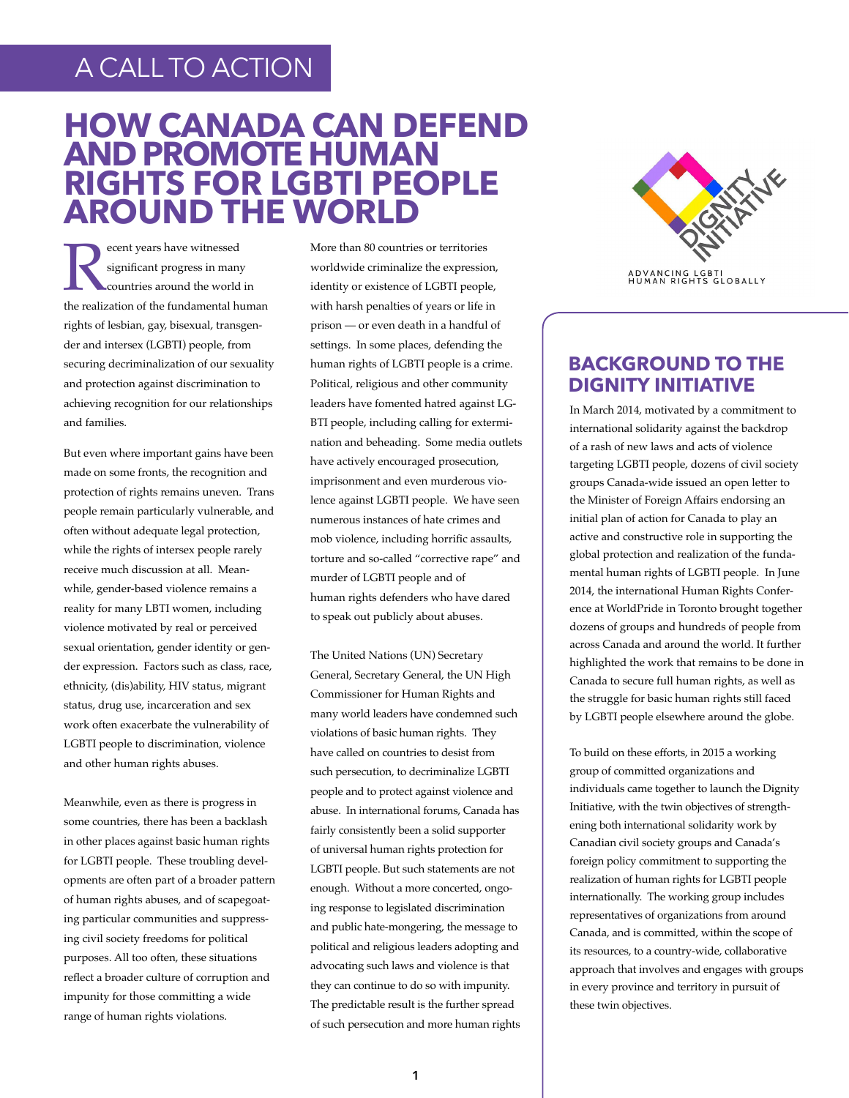# A CALL TO ACTION

# **HOW CANADA CAN DEFEND AND PROMOTE HUMAN RIGHTS FOR LGBTI PEOPLE AROUND THE WORLD**

**EXECUTE SERVIER 18 SERVIER SERVIER SERVIER SERVIER SERVIER SERVIER SERVIER SERVIER SERVIER SERVIER SERVIER SERVIER SERVIER SERVIER SERVIER SERVIER SERVIER SERVIER SERVIER SERVIER SERVIER SERVIER SERVIER SERVIER SERVIER SE** significant progress in many countries around the world in rights of lesbian, gay, bisexual, transgender and intersex (LGBTI) people, from securing decriminalization of our sexuality and protection against discrimination to achieving recognition for our relationships and families.

But even where important gains have been made on some fronts, the recognition and protection of rights remains uneven. Trans people remain particularly vulnerable, and often without adequate legal protection, while the rights of intersex people rarely receive much discussion at all. Meanwhile, gender-based violence remains a reality for many LBTI women, including violence motivated by real or perceived sexual orientation, gender identity or gender expression. Factors such as class, race, ethnicity, (dis)ability, HIV status, migrant status, drug use, incarceration and sex work often exacerbate the vulnerability of LGBTI people to discrimination, violence and other human rights abuses.

Meanwhile, even as there is progress in some countries, there has been a backlash in other places against basic human rights for LGBTI people. These troubling developments are often part of a broader pattern of human rights abuses, and of scapegoating particular communities and suppressing civil society freedoms for political purposes. All too often, these situations reflect a broader culture of corruption and impunity for those committing a wide range of human rights violations.

More than 80 countries or territories worldwide criminalize the expression, identity or existence of LGBTI people, with harsh penalties of years or life in prison — or even death in a handful of settings. In some places, defending the human rights of LGBTI people is a crime. Political, religious and other community leaders have fomented hatred against LG-BTI people, including calling for extermination and beheading. Some media outlets have actively encouraged prosecution, imprisonment and even murderous violence against LGBTI people. We have seen numerous instances of hate crimes and mob violence, including horrific assaults, torture and so-called "corrective rape" and murder of LGBTI people and of human rights defenders who have dared to speak out publicly about abuses.

The United Nations (UN) Secretary General, Secretary General, the UN High Commissioner for Human Rights and many world leaders have condemned such violations of basic human rights. They have called on countries to desist from such persecution, to decriminalize LGBTI people and to protect against violence and abuse. In international forums, Canada has fairly consistently been a solid supporter of universal human rights protection for LGBTI people. But such statements are not enough. Without a more concerted, ongoing response to legislated discrimination and public hate-mongering, the message to political and religious leaders adopting and advocating such laws and violence is that they can continue to do so with impunity. The predictable result is the further spread of such persecution and more human rights



ADVANCING LGBTI<br>HUMAN RIGHTS GLOBALLY

## **BACKGROUND TO THE DIGNITY INITIATIVE**

In March 2014, motivated by a commitment to international solidarity against the backdrop of a rash of new laws and acts of violence targeting LGBTI people, dozens of civil society groups Canada-wide issued an open letter to the Minister of Foreign Affairs endorsing an initial plan of action for Canada to play an active and constructive role in supporting the global protection and realization of the fundamental human rights of LGBTI people. In June 2014, the international Human Rights Conference at WorldPride in Toronto brought together dozens of groups and hundreds of people from across Canada and around the world. It further highlighted the work that remains to be done in Canada to secure full human rights, as well as the struggle for basic human rights still faced by LGBTI people elsewhere around the globe.

To build on these efforts, in 2015 a working group of committed organizations and individuals came together to launch the Dignity Initiative, with the twin objectives of strengthening both international solidarity work by Canadian civil society groups and Canada's foreign policy commitment to supporting the realization of human rights for LGBTI people internationally. The working group includes representatives of organizations from around Canada, and is committed, within the scope of its resources, to a country-wide, collaborative approach that involves and engages with groups in every province and territory in pursuit of these twin objectives.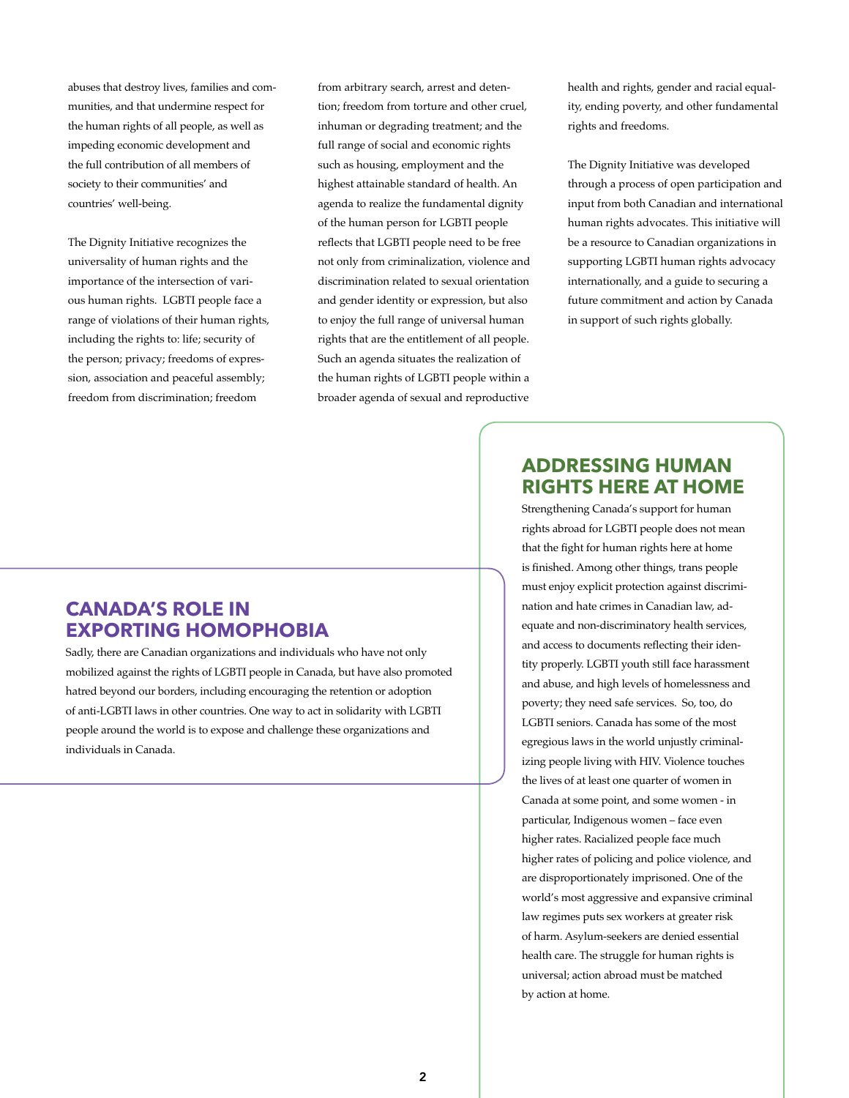abuses that destroy lives, families and communities, and that undermine respect for the human rights of all people, as well as impeding economic development and the full contribution of all members of society to their communities' and countries' well-being.

The Dignity Initiative recognizes the universality of human rights and the importance of the intersection of various human rights. LGBTI people face a range of violations of their human rights, including the rights to: life; security of the person; privacy; freedoms of expression, association and peaceful assembly; freedom from discrimination; freedom

from arbitrary search, arrest and detention; freedom from torture and other cruel, inhuman or degrading treatment; and the full range of social and economic rights such as housing, employment and the highest attainable standard of health. An agenda to realize the fundamental dignity of the human person for LGBTI people reflects that LGBTI people need to be free not only from criminalization, violence and discrimination related to sexual orientation and gender identity or expression, but also to enjoy the full range of universal human rights that are the entitlement of all people. Such an agenda situates the realization of the human rights of LGBTI people within a broader agenda of sexual and reproductive

health and rights, gender and racial equality, ending poverty, and other fundamental rights and freedoms.

The Dignity Initiative was developed through a process of open participation and input from both Canadian and international human rights advocates. This initiative will be a resource to Canadian organizations in supporting LGBTI human rights advocacy internationally, and a guide to securing a future commitment and action by Canada in support of such rights globally.

## **CANADA'S ROLE IN EXPORTING HOMOPHOBIA**

Sadly, there are Canadian organizations and individuals who have not only mobilized against the rights of LGBTI people in Canada, but have also promoted hatred beyond our borders, including encouraging the retention or adoption of anti-LGBTI laws in other countries. One way to act in solidarity with LGBTI people around the world is to expose and challenge these organizations and individuals in Canada.

## **ADDRESSING HUMAN RIGHTS HERE AT HOME**

Strengthening Canada's support for human rights abroad for LGBTI people does not mean that the fight for human rights here at home is finished. Among other things, trans people must enjoy explicit protection against discrimination and hate crimes in Canadian law, adequate and non-discriminatory health services, and access to documents reflecting their identity properly. LGBTI youth still face harassment and abuse, and high levels of homelessness and poverty; they need safe services. So, too, do LGBTI seniors. Canada has some of the most egregious laws in the world unjustly criminalizing people living with HIV. Violence touches the lives of at least one quarter of women in Canada at some point, and some women - in particular, Indigenous women – face even higher rates. Racialized people face much higher rates of policing and police violence, and are disproportionately imprisoned. One of the world's most aggressive and expansive criminal law regimes puts sex workers at greater risk of harm. Asylum-seekers are denied essential health care. The struggle for human rights is universal; action abroad must be matched by action at home.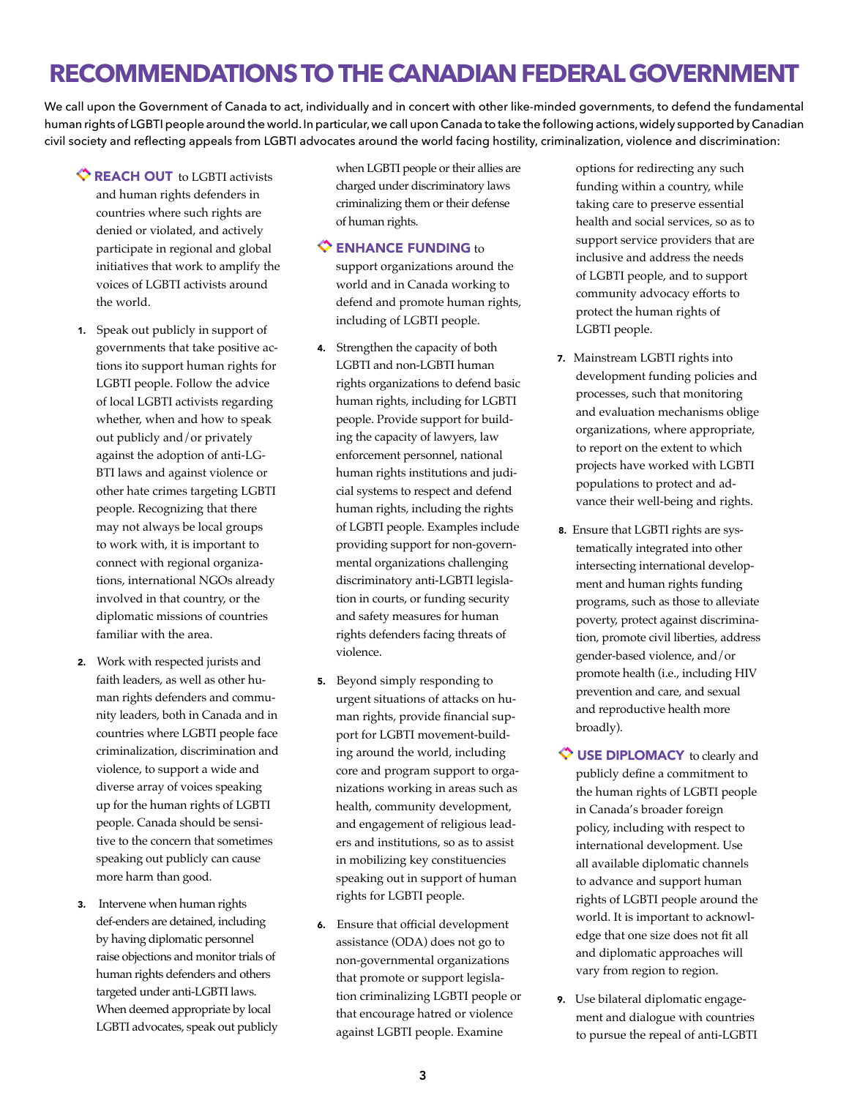# **RECOMMENDATIONS TO THE CANADIAN FEDERAL GOVERNMENT**

We call upon the Government of Canada to act, individually and in concert with other like-minded governments, to defend the fundamental human rights of LGBTI people around the world. In particular, we call upon Canada to take the following actions, widely supported by Canadian civil society and reflecting appeals from LGBTI advocates around the world facing hostility, criminalization, violence and discrimination:

- REACH OUT to LGBTI activists and human rights defenders in countries where such rights are denied or violated, and actively participate in regional and global initiatives that work to amplify the voices of LGBTI activists around the world.
- 1. Speak out publicly in support of governments that take positive actions ito support human rights for LGBTI people. Follow the advice of local LGBTI activists regarding whether, when and how to speak out publicly and/or privately against the adoption of anti-LG-BTI laws and against violence or other hate crimes targeting LGBTI people. Recognizing that there may not always be local groups to work with, it is important to connect with regional organizations, international NGOs already involved in that country, or the diplomatic missions of countries familiar with the area.
- 2. Work with respected jurists and faith leaders, as well as other human rights defenders and community leaders, both in Canada and in countries where LGBTI people face criminalization, discrimination and violence, to support a wide and diverse array of voices speaking up for the human rights of LGBTI people. Canada should be sensitive to the concern that sometimes speaking out publicly can cause more harm than good.
- 3. Intervene when human rights def-enders are detained, including by having diplomatic personnel raise objections and monitor trials of human rights defenders and others targeted under anti-LGBTI laws. When deemed appropriate by local LGBTI advocates, speak out publicly

when LGBTI people or their allies are charged under discriminatory laws criminalizing them or their defense of human rights.

#### $\Diamond$  ENHANCE FUNDING to

support organizations around the world and in Canada working to defend and promote human rights, including of LGBTI people.

- 4. Strengthen the capacity of both LGBTI and non-LGBTI human rights organizations to defend basic human rights, including for LGBTI people. Provide support for building the capacity of lawyers, law enforcement personnel, national human rights institutions and judicial systems to respect and defend human rights, including the rights of LGBTI people. Examples include providing support for non-governmental organizations challenging discriminatory anti-LGBTI legislation in courts, or funding security and safety measures for human rights defenders facing threats of violence.
- 5. Beyond simply responding to urgent situations of attacks on human rights, provide financial support for LGBTI movement-building around the world, including core and program support to organizations working in areas such as health, community development, and engagement of religious leaders and institutions, so as to assist in mobilizing key constituencies speaking out in support of human rights for LGBTI people.
- 6. Ensure that official development assistance (ODA) does not go to non-governmental organizations that promote or support legislation criminalizing LGBTI people or that encourage hatred or violence against LGBTI people. Examine

options for redirecting any such funding within a country, while taking care to preserve essential health and social services, so as to support service providers that are inclusive and address the needs of LGBTI people, and to support community advocacy efforts to protect the human rights of LGBTI people.

- 7. Mainstream LGBTI rights into development funding policies and processes, such that monitoring and evaluation mechanisms oblige organizations, where appropriate, to report on the extent to which projects have worked with LGBTI populations to protect and advance their well-being and rights.
- 8. Ensure that LGBTI rights are systematically integrated into other intersecting international development and human rights funding programs, such as those to alleviate poverty, protect against discrimination, promote civil liberties, address gender-based violence, and/or promote health (i.e., including HIV prevention and care, and sexual and reproductive health more broadly).
- $\Diamond$  USE DIPLOMACY to clearly and publicly define a commitment to the human rights of LGBTI people in Canada's broader foreign policy, including with respect to international development. Use all available diplomatic channels to advance and support human rights of LGBTI people around the world. It is important to acknowledge that one size does not fit all and diplomatic approaches will vary from region to region.
- 9. Use bilateral diplomatic engagement and dialogue with countries to pursue the repeal of anti-LGBTI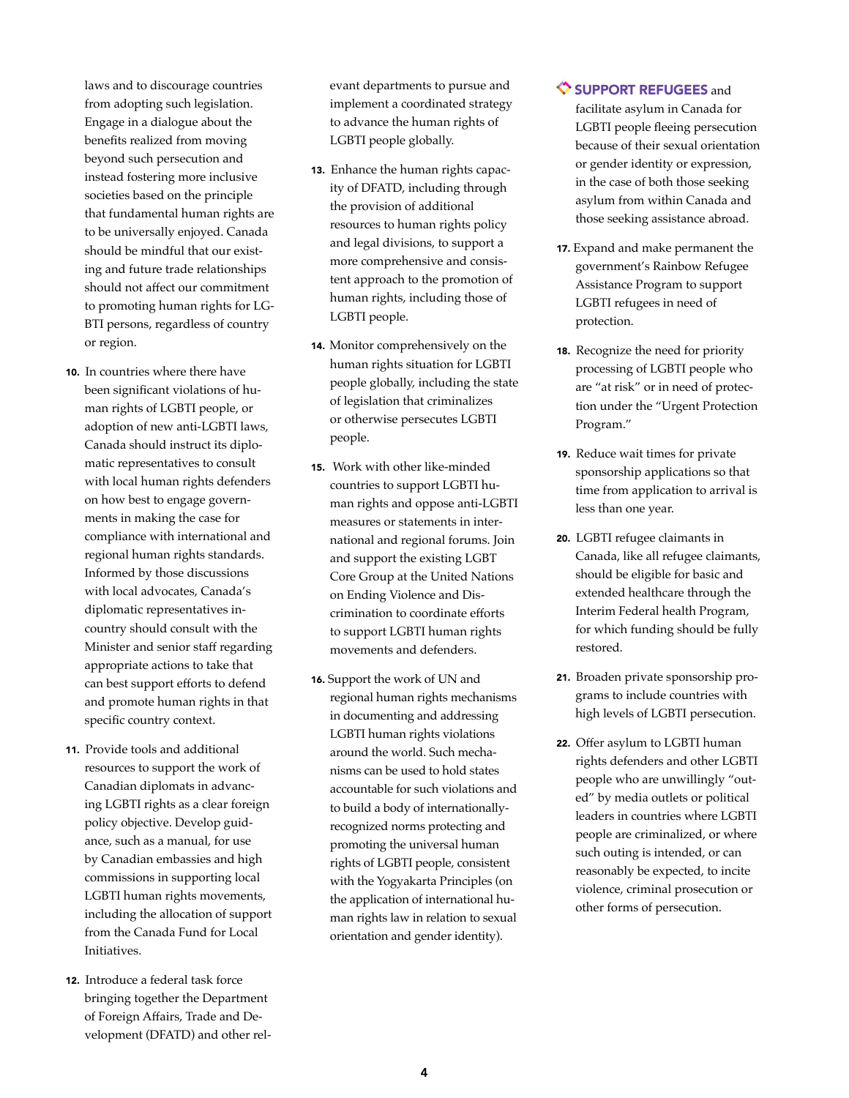laws and to discourage countries from adopting such legislation. Engage in a dialogue about the benefits realized from moving beyond such persecution and instead fostering more inclusive societies based on the principle that fundamental human rights are to be universally enjoyed. Canada should be mindful that our existing and future trade relationships should not affect our commitment to promoting human rights for LG-BTI persons, regardless of country or region.

- 10. In countries where there have been significant violations of human rights of LGBTI people, or adoption of new anti-LGBTI laws, Canada should instruct its diplomatic representatives to consult with local human rights defenders on how best to engage governments in making the case for compliance with international and regional human rights standards. Informed by those discussions with local advocates, Canada's diplomatic representatives incountry should consult with the Minister and senior staff regarding appropriate actions to take that can best support efforts to defend and promote human rights in that specific country context.
- 11. Provide tools and additional resources to support the work of Canadian diplomats in advancing LGBTI rights as a clear foreign policy objective. Develop guidance, such as a manual, for use by Canadian embassies and high commissions in supporting local LGBTI human rights movements, including the allocation of support from the Canada Fund for Local Initiatives.
- 12. Introduce a federal task force bringing together the Department of Foreign Affairs, Trade and Development (DFATD) and other rel-

evant departments to pursue and implement a coordinated strategy to advance the human rights of LGBTI people globally.

- 13. Enhance the human rights capacity of DFATD, including through the provision of additional resources to human rights policy and legal divisions, to support a more comprehensive and consistent approach to the promotion of human rights, including those of LGBTI people.
- 14. Monitor comprehensively on the human rights situation for LGBTI people globally, including the state of legislation that criminalizes or otherwise persecutes LGBTI people.
- 15. Work with other like-minded countries to support LGBTI human rights and oppose anti-LGBTI measures or statements in international and regional forums. Join and support the existing LGBT Core Group at the United Nations on Ending Violence and Discrimination to coordinate efforts to support LGBTI human rights movements and defenders.
- 16. Support the work of UN and regional human rights mechanisms in documenting and addressing LGBTI human rights violations around the world. Such mechanisms can be used to hold states accountable for such violations and to build a body of internationallyrecognized norms protecting and promoting the universal human rights of LGBTI people, consistent with the Yogyakarta Principles (on the application of international human rights law in relation to sexual orientation and gender identity).

#### $\diamondsuit$  SUPPORT REFUGEES and

- facilitate asylum in Canada for LGBTI people fleeing persecution because of their sexual orientation or gender identity or expression, in the case of both those seeking asylum from within Canada and those seeking assistance abroad.
- 17. Expand and make permanent the government's Rainbow Refugee Assistance Program to support LGBTI refugees in need of protection.
- 18. Recognize the need for priority processing of LGBTI people who are "at risk" or in need of protection under the "Urgent Protection Program."
- 19. Reduce wait times for private sponsorship applications so that time from application to arrival is less than one year.
- 20. LGBTI refugee claimants in Canada, like all refugee claimants, should be eligible for basic and extended healthcare through the Interim Federal health Program, for which funding should be fully restored.
- 21. Broaden private sponsorship programs to include countries with high levels of LGBTI persecution.
- 22. Offer asylum to LGBTI human rights defenders and other LGBTI people who are unwillingly "outed" by media outlets or political leaders in countries where LGBTI people are criminalized, or where such outing is intended, or can reasonably be expected, to incite violence, criminal prosecution or other forms of persecution.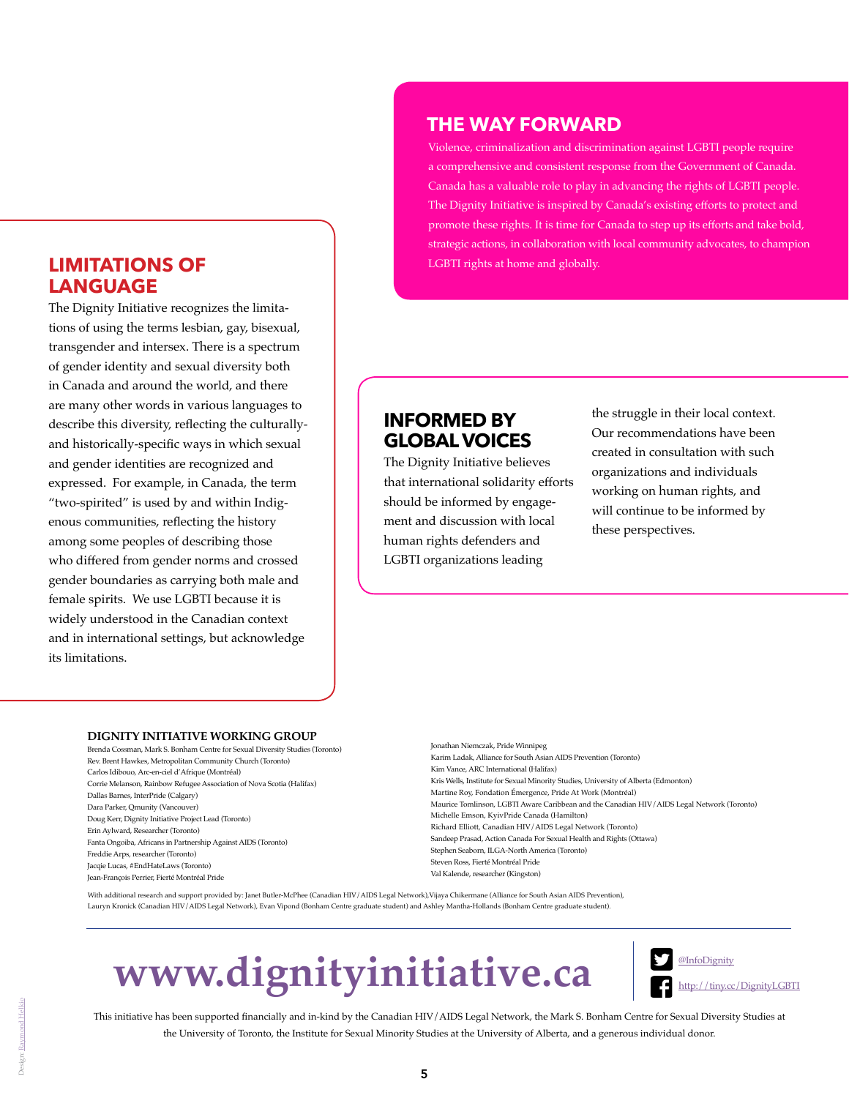## **LIMITATIONS OF LANGUAGE**

The Dignity Initiative recognizes the limitations of using the terms lesbian, gay, bisexual, transgender and intersex. There is a spectrum of gender identity and sexual diversity both in Canada and around the world, and there are many other words in various languages to describe this diversity, reflecting the culturallyand historically-specific ways in which sexual and gender identities are recognized and expressed. For example, in Canada, the term "two-spirited" is used by and within Indigenous communities, reflecting the history among some peoples of describing those who differed from gender norms and crossed gender boundaries as carrying both male and female spirits. We use LGBTI because it is widely understood in the Canadian context and in international settings, but acknowledge its limitations.

## **THE WAY FORWARD**

Violence, criminalization and discrimination against LGBTI people require a comprehensive and consistent response from the Government of Canada. Canada has a valuable role to play in advancing the rights of LGBTI people. The Dignity Initiative is inspired by Canada's existing efforts to protect and promote these rights. It is time for Canada to step up its efforts and take bold, strategic actions, in collaboration with local community advocates, to champion LGBTI rights at home and globally.

# **INFORMED BY GLOBAL VOICES**

The Dignity Initiative believes that international solidarity efforts should be informed by engagement and discussion with local human rights defenders and LGBTI organizations leading

the struggle in their local context. Our recommendations have been created in consultation with such organizations and individuals working on human rights, and will continue to be informed by these perspectives.

#### **DIGNITY INITIATIVE WORKING GROUP**

Brenda Cossman, Mark S. Bonham Centre for Sexual Diversity Studies (Toronto) Rev. Brent Hawkes, Metropolitan Community Church (Toronto) Carlos Idibouo, Arc-en-ciel d'Afrique (Montréal) Corrie Melanson, Rainbow Refugee Association of Nova Scotia (Halifax) Dallas Barnes, InterPride (Calgary) Dara Parker, Qmunity (Vancouver) Doug Kerr, Dignity Initiative Project Lead (Toronto) Erin Aylward, Researcher (Toronto) Fanta Ongoiba, Africans in Partnership Against AIDS (Toronto) Freddie Arps, researcher (Toronto) Jacqie Lucas, #EndHateLaws (Toronto) Jean-François Perrier, Fierté Montréal Pride

Jonathan Niemczak, Pride Winnipeg Karim Ladak, Alliance for South Asian AIDS Prevention (Toronto) Kim Vance, ARC International (Halifax) Kris Wells, Institute for Sexual Minority Studies, University of Alberta (Edmonton) Martine Roy, Fondation Émergence, Pride At Work (Montréal) Maurice Tomlinson, LGBTI Aware Caribbean and the Canadian HIV/AIDS Legal Network (Toronto) Michelle Emson, KyivPride Canada (Hamilton) Richard Elliott, Canadian HIV/AIDS Legal Network (Toronto) Sandeep Prasad, Action Canada For Sexual Health and Rights (Ottawa) Stephen Seaborn, ILGA-North America (Toronto) Steven Ross, Fierté Montréal Pride Val Kalende, researcher (Kingston)

With additional research and support provided by: Janet Butler-McPhee (Canadian HIV/AIDS Legal Network),Vijaya Chikermane (Alliance for South Asian AIDS Prevention), Lauryn Kronick (Canadian HIV/AIDS Legal Network), Evan Vipond (Bonham Centre graduate student) and Ashley Mantha-Hollands (Bonham Centre graduate student).

# **[www.dignityinitiative.ca](www.dignitityinitiative.ca )**



This initiative has been supported financially and in-kind by the Canadian HIV/AIDS Legal Network, the Mark S. Bonham Centre for Sexual Diversity Studies at the University of Toronto, the Institute for Sexual Minority Studies at the University of Alberta, and a generous individual donor.